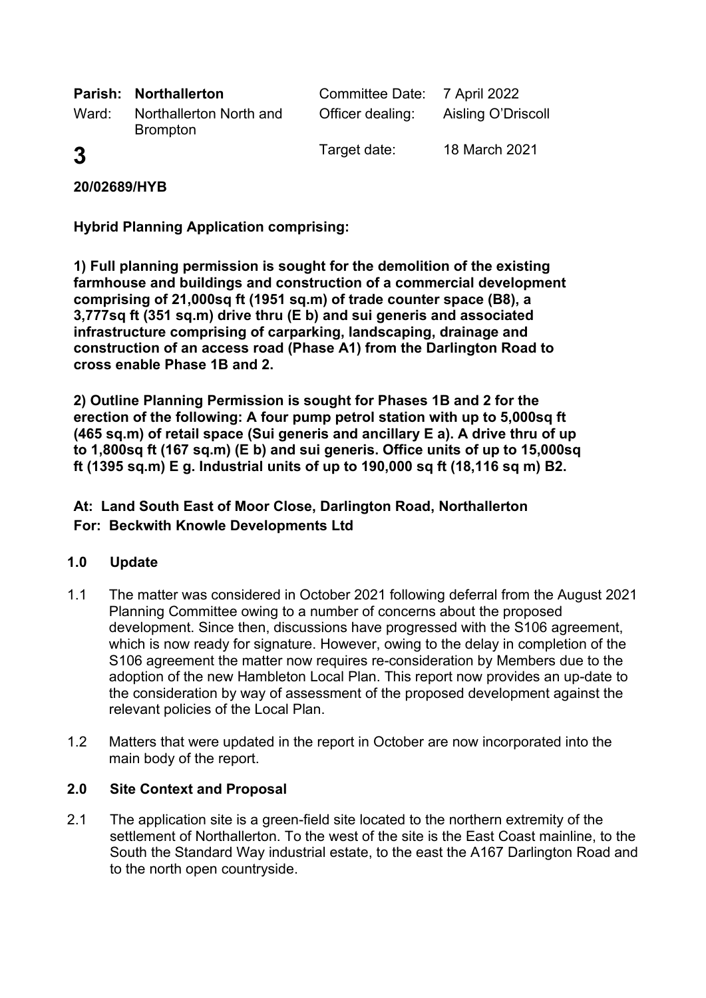|       | <b>Parish: Northallerton</b>               | Committee Date: 7 April 2022 |                    |
|-------|--------------------------------------------|------------------------------|--------------------|
| Ward: | Northallerton North and<br><b>Brompton</b> | Officer dealing:             | Aisling O'Driscoll |
| 3     |                                            | Target date:                 | 18 March 2021      |

**20/02689/HYB**

**Hybrid Planning Application comprising:** 

**1) Full planning permission is sought for the demolition of the existing farmhouse and buildings and construction of a commercial development comprising of 21,000sq ft (1951 sq.m) of trade counter space (B8), a 3,777sq ft (351 sq.m) drive thru (E b) and sui generis and associated infrastructure comprising of carparking, landscaping, drainage and construction of an access road (Phase A1) from the Darlington Road to cross enable Phase 1B and 2.** 

**2) Outline Planning Permission is sought for Phases 1B and 2 for the erection of the following: A four pump petrol station with up to 5,000sq ft (465 sq.m) of retail space (Sui generis and ancillary E a). A drive thru of up to 1,800sq ft (167 sq.m) (E b) and sui generis. Office units of up to 15,000sq ft (1395 sq.m) E g. Industrial units of up to 190,000 sq ft (18,116 sq m) B2.**

# **At: Land South East of Moor Close, Darlington Road, Northallerton For: Beckwith Knowle Developments Ltd**

## **1.0 Update**

- 1.1 The matter was considered in October 2021 following deferral from the August 2021 Planning Committee owing to a number of concerns about the proposed development. Since then, discussions have progressed with the S106 agreement, which is now ready for signature. However, owing to the delay in completion of the S106 agreement the matter now requires re-consideration by Members due to the adoption of the new Hambleton Local Plan. This report now provides an up-date to the consideration by way of assessment of the proposed development against the relevant policies of the Local Plan.
- 1.2 Matters that were updated in the report in October are now incorporated into the main body of the report.

#### **2.0 Site Context and Proposal**

2.1 The application site is a green-field site located to the northern extremity of the settlement of Northallerton. To the west of the site is the East Coast mainline, to the South the Standard Way industrial estate, to the east the A167 Darlington Road and to the north open countryside.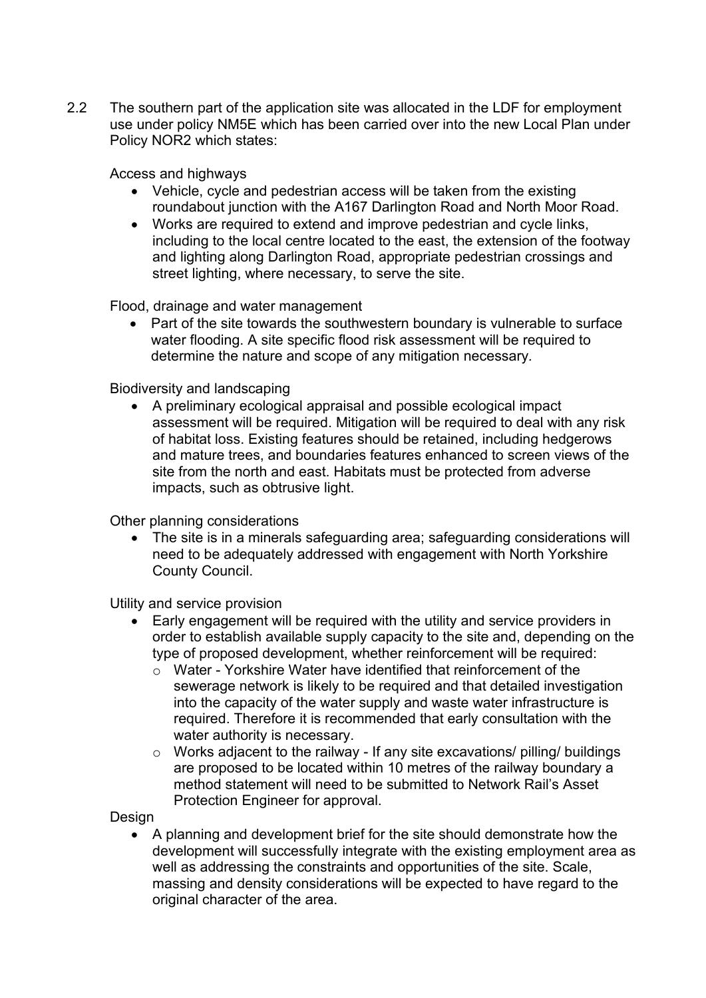2.2 The southern part of the application site was allocated in the LDF for employment use under policy NM5E which has been carried over into the new Local Plan under Policy NOR2 which states:

Access and highways

- Vehicle, cycle and pedestrian access will be taken from the existing roundabout junction with the A167 Darlington Road and North Moor Road.
- Works are required to extend and improve pedestrian and cycle links, including to the local centre located to the east, the extension of the footway and lighting along Darlington Road, appropriate pedestrian crossings and street lighting, where necessary, to serve the site.

Flood, drainage and water management

• Part of the site towards the southwestern boundary is vulnerable to surface water flooding. A site specific flood risk assessment will be required to determine the nature and scope of any mitigation necessary*.*

### Biodiversity and landscaping

• A preliminary ecological appraisal and possible ecological impact assessment will be required. Mitigation will be required to deal with any risk of habitat loss. Existing features should be retained, including hedgerows and mature trees, and boundaries features enhanced to screen views of the site from the north and east. Habitats must be protected from adverse impacts, such as obtrusive light.

Other planning considerations

• The site is in a minerals safeguarding area; safeguarding considerations will need to be adequately addressed with engagement with North Yorkshire County Council.

Utility and service provision

- Early engagement will be required with the utility and service providers in order to establish available supply capacity to the site and, depending on the type of proposed development, whether reinforcement will be required:
	- $\circ$  Water Yorkshire Water have identified that reinforcement of the sewerage network is likely to be required and that detailed investigation into the capacity of the water supply and waste water infrastructure is required. Therefore it is recommended that early consultation with the water authority is necessary.
	- $\circ$  Works adjacent to the railway If any site excavations/ pilling/ buildings are proposed to be located within 10 metres of the railway boundary a method statement will need to be submitted to Network Rail's Asset Protection Engineer for approval.

Design

• A planning and development brief for the site should demonstrate how the development will successfully integrate with the existing employment area as well as addressing the constraints and opportunities of the site. Scale, massing and density considerations will be expected to have regard to the original character of the area.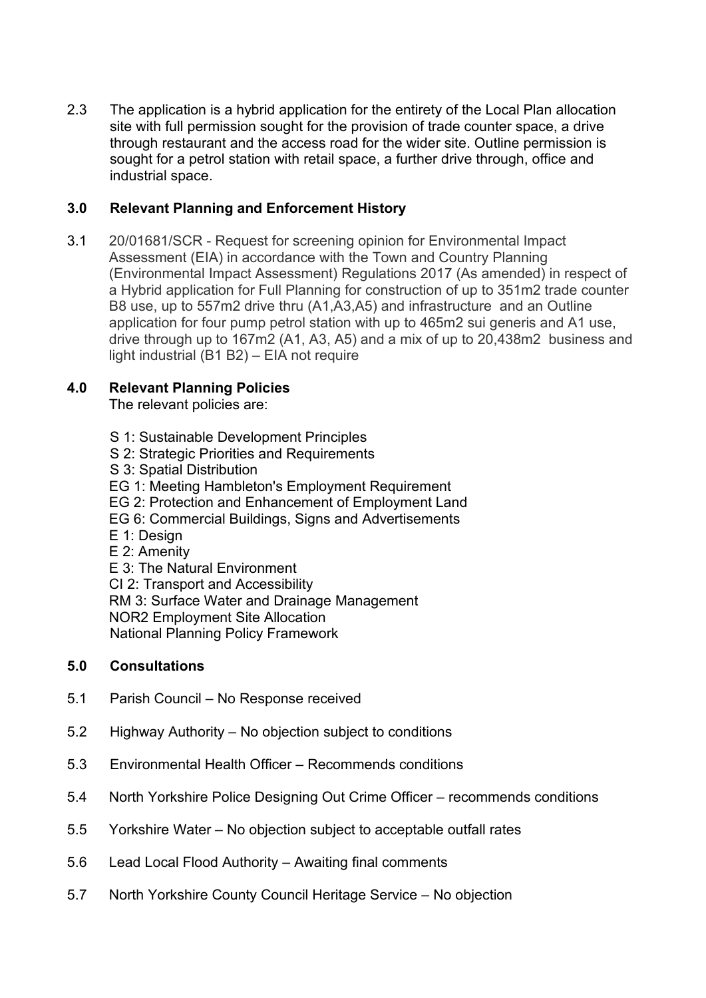2.3 The application is a hybrid application for the entirety of the Local Plan allocation site with full permission sought for the provision of trade counter space, a drive through restaurant and the access road for the wider site. Outline permission is sought for a petrol station with retail space, a further drive through, office and industrial space.

## **3.0 Relevant Planning and Enforcement History**

3.1 20/01681/SCR - Request for screening opinion for Environmental Impact Assessment (EIA) in accordance with the Town and Country Planning (Environmental Impact Assessment) Regulations 2017 (As amended) in respect of a Hybrid application for Full Planning for construction of up to 351m2 trade counter B8 use, up to 557m2 drive thru (A1,A3,A5) and infrastructure and an Outline application for four pump petrol station with up to 465m2 sui generis and A1 use, drive through up to 167m2 (A1, A3, A5) and a mix of up to 20,438m2 business and light industrial (B1 B2) – EIA not require

## **4.0 Relevant Planning Policies**

The relevant policies are:

- S 1: Sustainable Development Principles
- S 2: Strategic Priorities and Requirements
- S 3: Spatial Distribution
- EG 1: Meeting Hambleton's Employment Requirement
- EG 2: Protection and Enhancement of Employment Land
- EG 6: Commercial Buildings, Signs and Advertisements
- E 1: Design
- E 2: Amenity

E 3: The Natural Environment

CI 2: Transport and Accessibility

RM 3: Surface Water and Drainage Management NOR2 Employment Site Allocation

National Planning Policy Framework

#### **5.0 Consultations**

- 5.1 Parish Council No Response received
- 5.2 Highway Authority No objection subject to conditions
- 5.3 Environmental Health Officer Recommends conditions
- 5.4 North Yorkshire Police Designing Out Crime Officer recommends conditions
- 5.5 Yorkshire Water No objection subject to acceptable outfall rates
- 5.6 Lead Local Flood Authority Awaiting final comments
- 5.7 North Yorkshire County Council Heritage Service No objection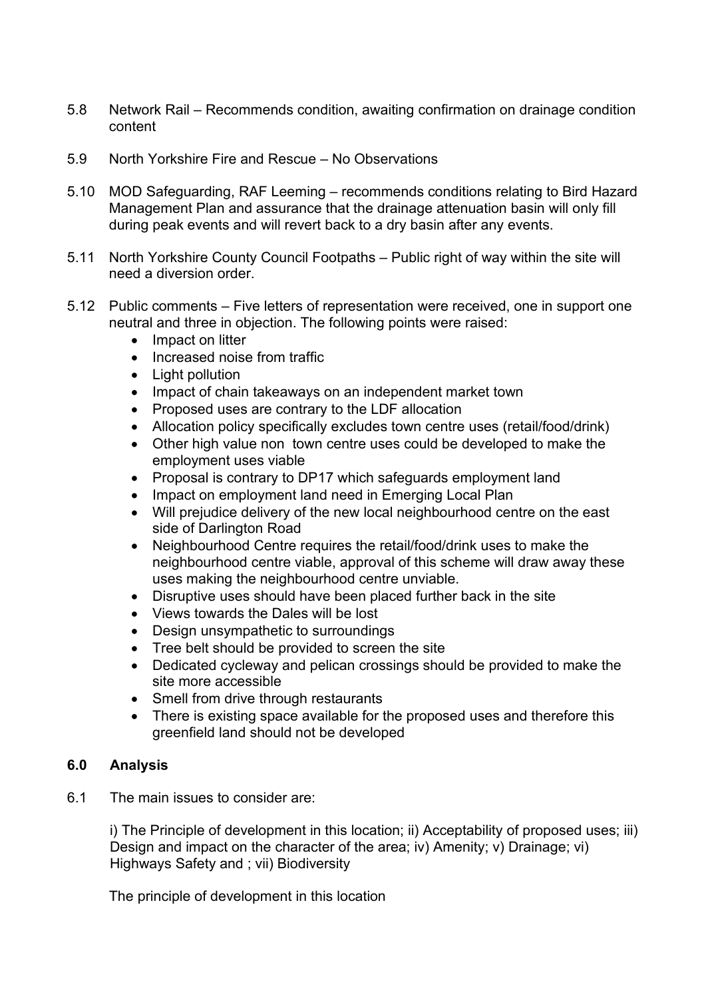- 5.8 Network Rail Recommends condition, awaiting confirmation on drainage condition content
- 5.9 North Yorkshire Fire and Rescue No Observations
- 5.10 MOD Safeguarding, RAF Leeming recommends conditions relating to Bird Hazard Management Plan and assurance that the drainage attenuation basin will only fill during peak events and will revert back to a dry basin after any events.
- 5.11 North Yorkshire County Council Footpaths Public right of way within the site will need a diversion order.
- 5.12 Public comments Five letters of representation were received, one in support one neutral and three in objection. The following points were raised:
	- Impact on litter
	- Increased noise from traffic
	- Light pollution
	- Impact of chain takeaways on an independent market town
	- Proposed uses are contrary to the LDF allocation
	- Allocation policy specifically excludes town centre uses (retail/food/drink)
	- Other high value non town centre uses could be developed to make the employment uses viable
	- Proposal is contrary to DP17 which safeguards employment land
	- Impact on employment land need in Emerging Local Plan
	- Will prejudice delivery of the new local neighbourhood centre on the east side of Darlington Road
	- Neighbourhood Centre requires the retail/food/drink uses to make the neighbourhood centre viable, approval of this scheme will draw away these uses making the neighbourhood centre unviable.
	- Disruptive uses should have been placed further back in the site
	- Views towards the Dales will be lost
	- Design unsympathetic to surroundings
	- Tree belt should be provided to screen the site
	- Dedicated cycleway and pelican crossings should be provided to make the site more accessible
	- Smell from drive through restaurants
	- There is existing space available for the proposed uses and therefore this greenfield land should not be developed

#### **6.0 Analysis**

6.1 The main issues to consider are:

i) The Principle of development in this location; ii) Acceptability of proposed uses; iii) Design and impact on the character of the area; iv) Amenity; v) Drainage; vi) Highways Safety and ; vii) Biodiversity

The principle of development in this location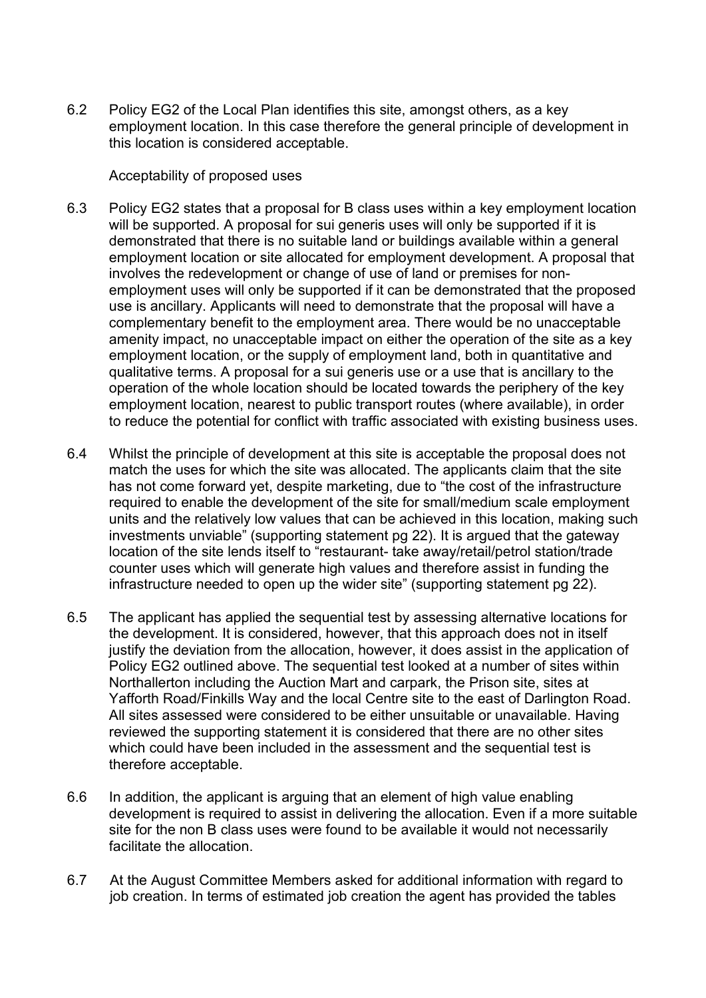6.2 Policy EG2 of the Local Plan identifies this site, amongst others, as a key employment location. In this case therefore the general principle of development in this location is considered acceptable.

#### Acceptability of proposed uses

- 6.3 Policy EG2 states that a proposal for B class uses within a key employment location will be supported. A proposal for sui generis uses will only be supported if it is demonstrated that there is no suitable land or buildings available within a general employment location or site allocated for employment development. A proposal that involves the redevelopment or change of use of land or premises for nonemployment uses will only be supported if it can be demonstrated that the proposed use is ancillary. Applicants will need to demonstrate that the proposal will have a complementary benefit to the employment area. There would be no unacceptable amenity impact, no unacceptable impact on either the operation of the site as a key employment location, or the supply of employment land, both in quantitative and qualitative terms. A proposal for a sui generis use or a use that is ancillary to the operation of the whole location should be located towards the periphery of the key employment location, nearest to public transport routes (where available), in order to reduce the potential for conflict with traffic associated with existing business uses.
- 6.4 Whilst the principle of development at this site is acceptable the proposal does not match the uses for which the site was allocated. The applicants claim that the site has not come forward yet, despite marketing, due to "the cost of the infrastructure required to enable the development of the site for small/medium scale employment units and the relatively low values that can be achieved in this location, making such investments unviable" (supporting statement pg 22). It is argued that the gateway location of the site lends itself to "restaurant- take away/retail/petrol station/trade counter uses which will generate high values and therefore assist in funding the infrastructure needed to open up the wider site" (supporting statement pg 22).
- 6.5 The applicant has applied the sequential test by assessing alternative locations for the development. It is considered, however, that this approach does not in itself justify the deviation from the allocation, however, it does assist in the application of Policy EG2 outlined above. The sequential test looked at a number of sites within Northallerton including the Auction Mart and carpark, the Prison site, sites at Yafforth Road/Finkills Way and the local Centre site to the east of Darlington Road. All sites assessed were considered to be either unsuitable or unavailable. Having reviewed the supporting statement it is considered that there are no other sites which could have been included in the assessment and the sequential test is therefore acceptable.
- 6.6 In addition, the applicant is arguing that an element of high value enabling development is required to assist in delivering the allocation. Even if a more suitable site for the non B class uses were found to be available it would not necessarily facilitate the allocation.
- 6.7 At the August Committee Members asked for additional information with regard to job creation. In terms of estimated job creation the agent has provided the tables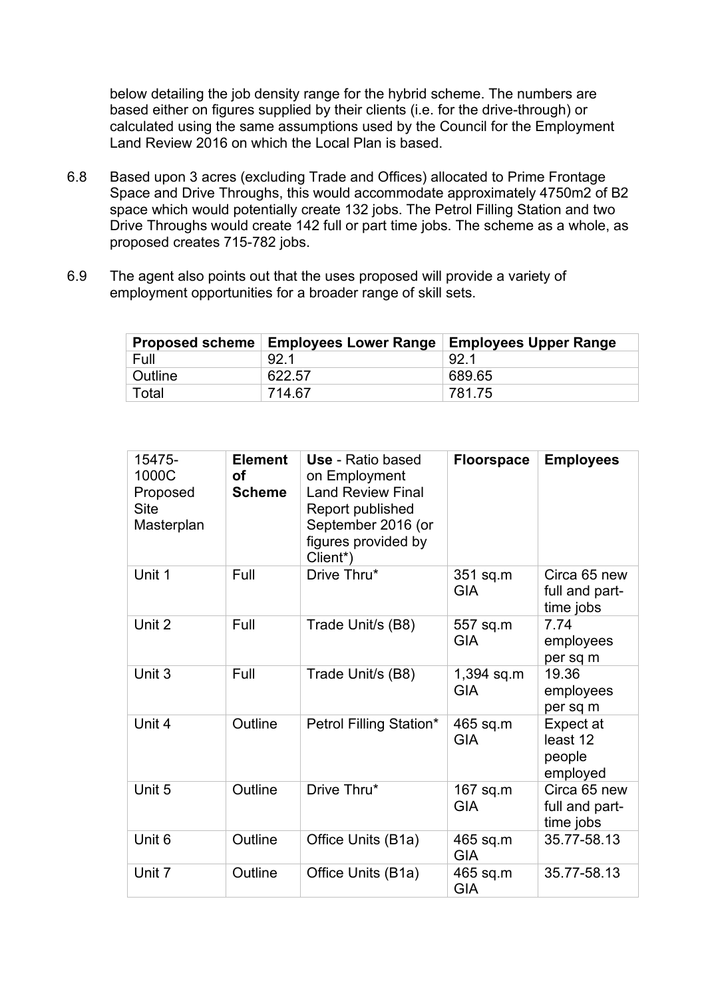below detailing the job density range for the hybrid scheme. The numbers are based either on figures supplied by their clients (i.e. for the drive-through) or calculated using the same assumptions used by the Council for the Employment Land Review 2016 on which the Local Plan is based.

- 6.8 Based upon 3 acres (excluding Trade and Offices) allocated to Prime Frontage Space and Drive Throughs, this would accommodate approximately 4750m2 of B2 space which would potentially create 132 jobs. The Petrol Filling Station and two Drive Throughs would create 142 full or part time jobs. The scheme as a whole, as proposed creates 715-782 jobs.
- 6.9 The agent also points out that the uses proposed will provide a variety of employment opportunities for a broader range of skill sets.

|         | Proposed scheme   Employees Lower Range | <b>Employees Upper Range</b> |
|---------|-----------------------------------------|------------------------------|
| Full    | 92 <sub>1</sub>                         | 92.1                         |
| Outline | 622.57                                  | 689.65                       |
| Total   | 714.67                                  | 781.75                       |

| 15475-<br>1000C<br>Proposed<br><b>Site</b><br>Masterplan | <b>Element</b><br>Οf<br><b>Scheme</b> | <b>Use</b> - Ratio based<br>on Employment<br><b>Land Review Final</b><br>Report published<br>September 2016 (or<br>figures provided by<br>Client*) | <b>Floorspace</b>        | <b>Employees</b>                            |
|----------------------------------------------------------|---------------------------------------|----------------------------------------------------------------------------------------------------------------------------------------------------|--------------------------|---------------------------------------------|
| Unit 1                                                   | Full                                  | Drive Thru*                                                                                                                                        | 351 sq.m<br><b>GIA</b>   | Circa 65 new<br>full and part-<br>time jobs |
| Unit 2                                                   | Full                                  | Trade Unit/s (B8)                                                                                                                                  | 557 sq.m<br><b>GIA</b>   | 7.74<br>employees<br>per sq m               |
| Unit 3                                                   | Full                                  | Trade Unit/s (B8)                                                                                                                                  | 1,394 sq.m<br><b>GIA</b> | 19.36<br>employees<br>per sq m              |
| Unit 4                                                   | Outline                               | Petrol Filling Station*                                                                                                                            | 465 sq.m<br><b>GIA</b>   | Expect at<br>least 12<br>people<br>employed |
| Unit 5                                                   | Outline                               | Drive Thru*                                                                                                                                        | $167$ sq.m<br><b>GIA</b> | Circa 65 new<br>full and part-<br>time jobs |
| Unit 6                                                   | Outline                               | Office Units (B1a)                                                                                                                                 | 465 sq.m<br><b>GIA</b>   | 35.77-58.13                                 |
| Unit 7                                                   | Outline                               | Office Units (B1a)                                                                                                                                 | 465 sq.m<br><b>GIA</b>   | 35.77-58.13                                 |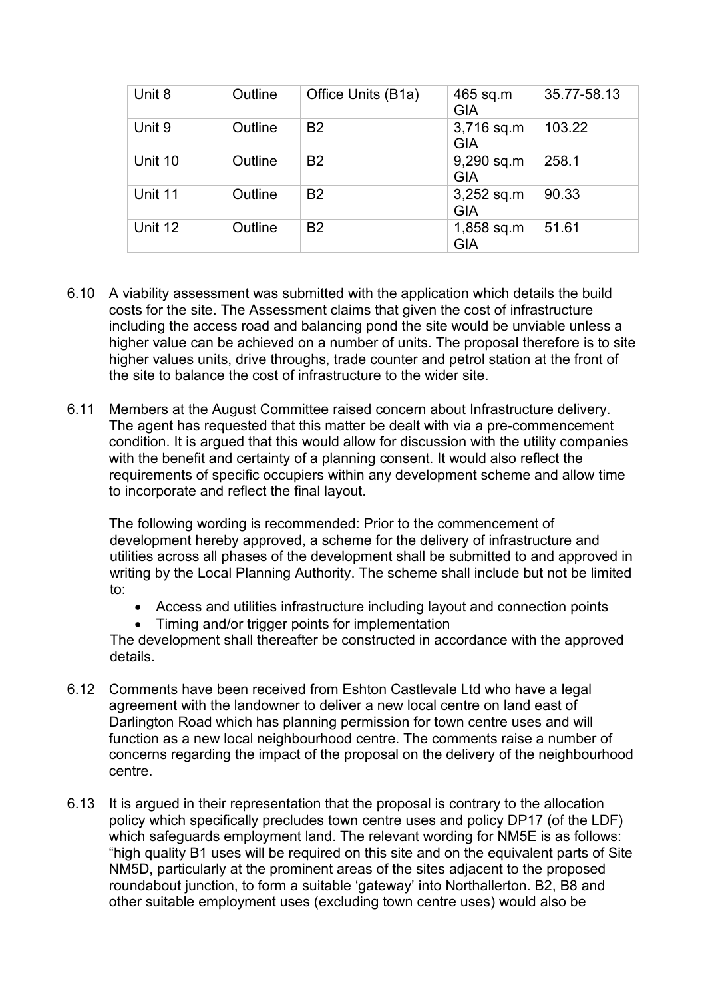| Unit 8  | Outline | Office Units (B1a) | 465 sq.m<br><b>GIA</b>   | 35.77-58.13 |
|---------|---------|--------------------|--------------------------|-------------|
| Unit 9  | Outline | <b>B2</b>          | 3,716 sq.m<br><b>GIA</b> | 103.22      |
| Unit 10 | Outline | <b>B2</b>          | 9,290 sq.m<br><b>GIA</b> | 258.1       |
| Unit 11 | Outline | <b>B2</b>          | 3,252 sq.m<br><b>GIA</b> | 90.33       |
| Unit 12 | Outline | <b>B2</b>          | 1,858 sq.m<br><b>GIA</b> | 51.61       |

- 6.10 A viability assessment was submitted with the application which details the build costs for the site. The Assessment claims that given the cost of infrastructure including the access road and balancing pond the site would be unviable unless a higher value can be achieved on a number of units. The proposal therefore is to site higher values units, drive throughs, trade counter and petrol station at the front of the site to balance the cost of infrastructure to the wider site.
- 6.11 Members at the August Committee raised concern about Infrastructure delivery. The agent has requested that this matter be dealt with via a pre-commencement condition. It is argued that this would allow for discussion with the utility companies with the benefit and certainty of a planning consent. It would also reflect the requirements of specific occupiers within any development scheme and allow time to incorporate and reflect the final layout.

The following wording is recommended: Prior to the commencement of development hereby approved, a scheme for the delivery of infrastructure and utilities across all phases of the development shall be submitted to and approved in writing by the Local Planning Authority. The scheme shall include but not be limited to:

- Access and utilities infrastructure including layout and connection points
- Timing and/or trigger points for implementation

The development shall thereafter be constructed in accordance with the approved details.

- 6.12 Comments have been received from Eshton Castlevale Ltd who have a legal agreement with the landowner to deliver a new local centre on land east of Darlington Road which has planning permission for town centre uses and will function as a new local neighbourhood centre. The comments raise a number of concerns regarding the impact of the proposal on the delivery of the neighbourhood centre.
- 6.13 It is argued in their representation that the proposal is contrary to the allocation policy which specifically precludes town centre uses and policy DP17 (of the LDF) which safeguards employment land. The relevant wording for NM5E is as follows: "high quality B1 uses will be required on this site and on the equivalent parts of Site NM5D, particularly at the prominent areas of the sites adjacent to the proposed roundabout junction, to form a suitable 'gateway' into Northallerton. B2, B8 and other suitable employment uses (excluding town centre uses) would also be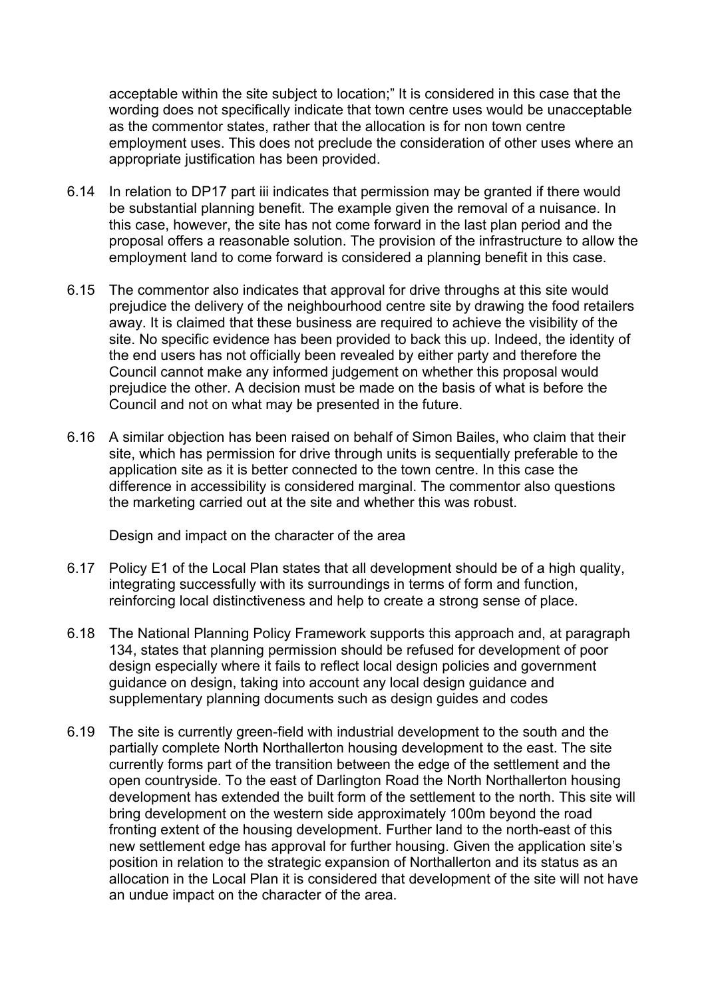acceptable within the site subject to location;" It is considered in this case that the wording does not specifically indicate that town centre uses would be unacceptable as the commentor states, rather that the allocation is for non town centre employment uses. This does not preclude the consideration of other uses where an appropriate justification has been provided.

- 6.14 In relation to DP17 part iii indicates that permission may be granted if there would be substantial planning benefit. The example given the removal of a nuisance. In this case, however, the site has not come forward in the last plan period and the proposal offers a reasonable solution. The provision of the infrastructure to allow the employment land to come forward is considered a planning benefit in this case.
- 6.15 The commentor also indicates that approval for drive throughs at this site would prejudice the delivery of the neighbourhood centre site by drawing the food retailers away. It is claimed that these business are required to achieve the visibility of the site. No specific evidence has been provided to back this up. Indeed, the identity of the end users has not officially been revealed by either party and therefore the Council cannot make any informed judgement on whether this proposal would prejudice the other. A decision must be made on the basis of what is before the Council and not on what may be presented in the future.
- 6.16 A similar objection has been raised on behalf of Simon Bailes, who claim that their site, which has permission for drive through units is sequentially preferable to the application site as it is better connected to the town centre. In this case the difference in accessibility is considered marginal. The commentor also questions the marketing carried out at the site and whether this was robust.

Design and impact on the character of the area

- 6.17 Policy E1 of the Local Plan states that all development should be of a high quality, integrating successfully with its surroundings in terms of form and function, reinforcing local distinctiveness and help to create a strong sense of place.
- 6.18 The National Planning Policy Framework supports this approach and, at paragraph 134, states that planning permission should be refused for development of poor design especially where it fails to reflect local design policies and government guidance on design, taking into account any local design guidance and supplementary planning documents such as design guides and codes
- 6.19 The site is currently green-field with industrial development to the south and the partially complete North Northallerton housing development to the east. The site currently forms part of the transition between the edge of the settlement and the open countryside. To the east of Darlington Road the North Northallerton housing development has extended the built form of the settlement to the north. This site will bring development on the western side approximately 100m beyond the road fronting extent of the housing development. Further land to the north-east of this new settlement edge has approval for further housing. Given the application site's position in relation to the strategic expansion of Northallerton and its status as an allocation in the Local Plan it is considered that development of the site will not have an undue impact on the character of the area.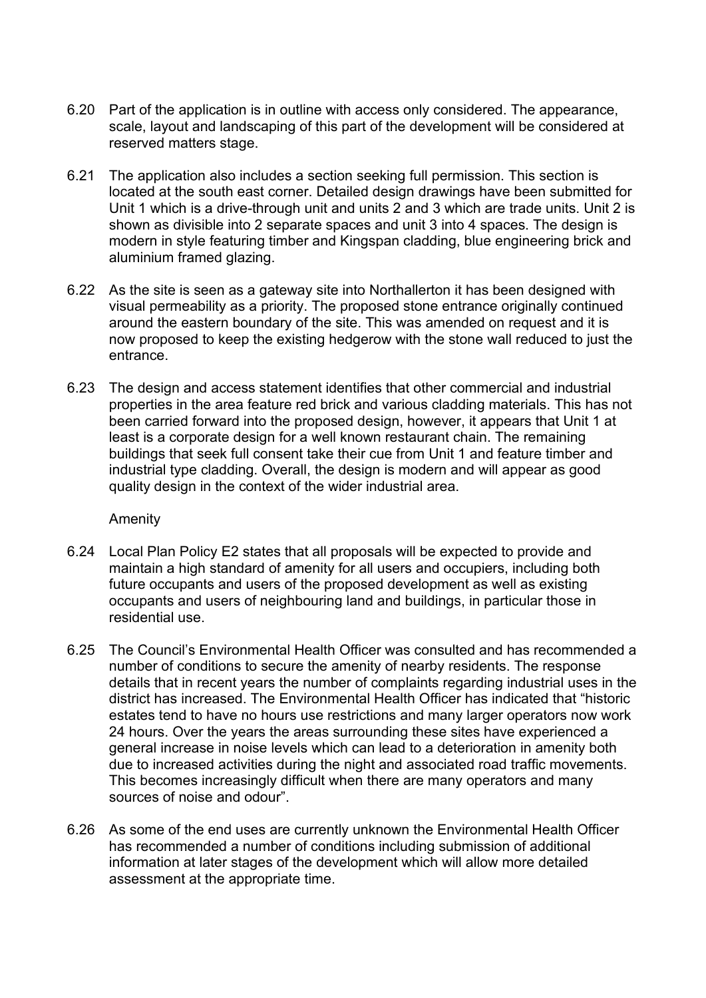- 6.20 Part of the application is in outline with access only considered. The appearance, scale, layout and landscaping of this part of the development will be considered at reserved matters stage.
- 6.21 The application also includes a section seeking full permission. This section is located at the south east corner. Detailed design drawings have been submitted for Unit 1 which is a drive-through unit and units 2 and 3 which are trade units. Unit 2 is shown as divisible into 2 separate spaces and unit 3 into 4 spaces. The design is modern in style featuring timber and Kingspan cladding, blue engineering brick and aluminium framed glazing.
- 6.22 As the site is seen as a gateway site into Northallerton it has been designed with visual permeability as a priority. The proposed stone entrance originally continued around the eastern boundary of the site. This was amended on request and it is now proposed to keep the existing hedgerow with the stone wall reduced to just the entrance.
- 6.23 The design and access statement identifies that other commercial and industrial properties in the area feature red brick and various cladding materials. This has not been carried forward into the proposed design, however, it appears that Unit 1 at least is a corporate design for a well known restaurant chain. The remaining buildings that seek full consent take their cue from Unit 1 and feature timber and industrial type cladding. Overall, the design is modern and will appear as good quality design in the context of the wider industrial area.

#### Amenity

- 6.24 Local Plan Policy E2 states that all proposals will be expected to provide and maintain a high standard of amenity for all users and occupiers, including both future occupants and users of the proposed development as well as existing occupants and users of neighbouring land and buildings, in particular those in residential use.
- 6.25 The Council's Environmental Health Officer was consulted and has recommended a number of conditions to secure the amenity of nearby residents. The response details that in recent years the number of complaints regarding industrial uses in the district has increased. The Environmental Health Officer has indicated that "historic estates tend to have no hours use restrictions and many larger operators now work 24 hours. Over the years the areas surrounding these sites have experienced a general increase in noise levels which can lead to a deterioration in amenity both due to increased activities during the night and associated road traffic movements. This becomes increasingly difficult when there are many operators and many sources of noise and odour".
- 6.26 As some of the end uses are currently unknown the Environmental Health Officer has recommended a number of conditions including submission of additional information at later stages of the development which will allow more detailed assessment at the appropriate time.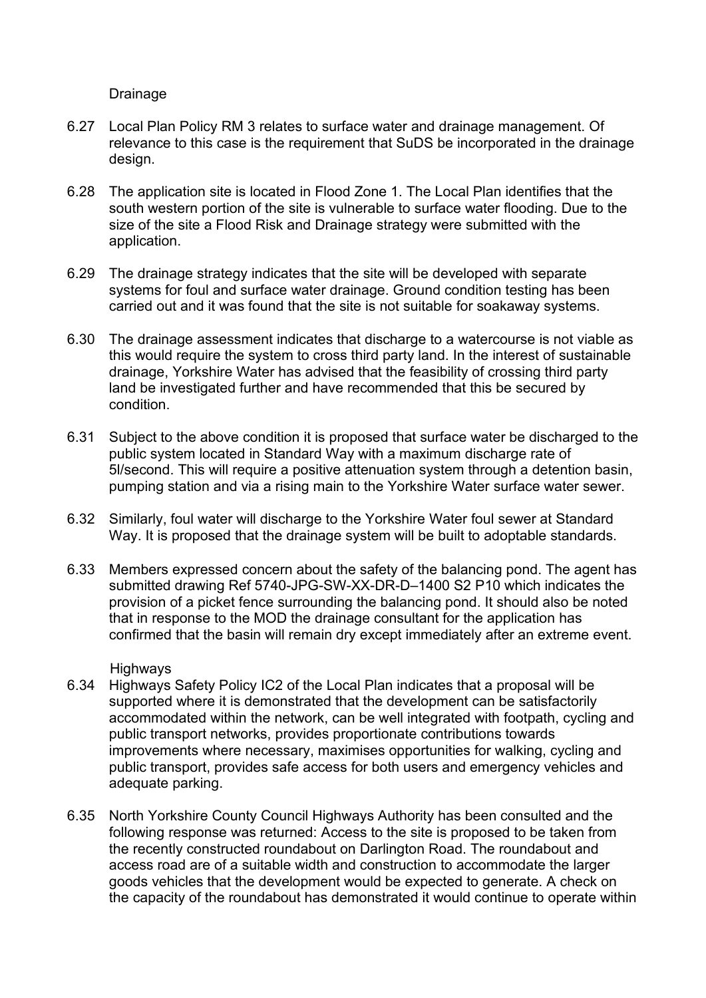Drainage

- 6.27 Local Plan Policy RM 3 relates to surface water and drainage management. Of relevance to this case is the requirement that SuDS be incorporated in the drainage design.
- 6.28 The application site is located in Flood Zone 1. The Local Plan identifies that the south western portion of the site is vulnerable to surface water flooding. Due to the size of the site a Flood Risk and Drainage strategy were submitted with the application.
- 6.29 The drainage strategy indicates that the site will be developed with separate systems for foul and surface water drainage. Ground condition testing has been carried out and it was found that the site is not suitable for soakaway systems.
- 6.30 The drainage assessment indicates that discharge to a watercourse is not viable as this would require the system to cross third party land. In the interest of sustainable drainage, Yorkshire Water has advised that the feasibility of crossing third party land be investigated further and have recommended that this be secured by condition.
- 6.31 Subject to the above condition it is proposed that surface water be discharged to the public system located in Standard Way with a maximum discharge rate of 5l/second. This will require a positive attenuation system through a detention basin, pumping station and via a rising main to the Yorkshire Water surface water sewer.
- 6.32 Similarly, foul water will discharge to the Yorkshire Water foul sewer at Standard Way. It is proposed that the drainage system will be built to adoptable standards.
- 6.33 Members expressed concern about the safety of the balancing pond. The agent has submitted drawing Ref 5740-JPG-SW-XX-DR-D–1400 S2 P10 which indicates the provision of a picket fence surrounding the balancing pond. It should also be noted that in response to the MOD the drainage consultant for the application has confirmed that the basin will remain dry except immediately after an extreme event.

#### **Highways**

- 6.34 Highways Safety Policy IC2 of the Local Plan indicates that a proposal will be supported where it is demonstrated that the development can be satisfactorily accommodated within the network, can be well integrated with footpath, cycling and public transport networks, provides proportionate contributions towards improvements where necessary, maximises opportunities for walking, cycling and public transport, provides safe access for both users and emergency vehicles and adequate parking.
- 6.35 North Yorkshire County Council Highways Authority has been consulted and the following response was returned: Access to the site is proposed to be taken from the recently constructed roundabout on Darlington Road. The roundabout and access road are of a suitable width and construction to accommodate the larger goods vehicles that the development would be expected to generate. A check on the capacity of the roundabout has demonstrated it would continue to operate within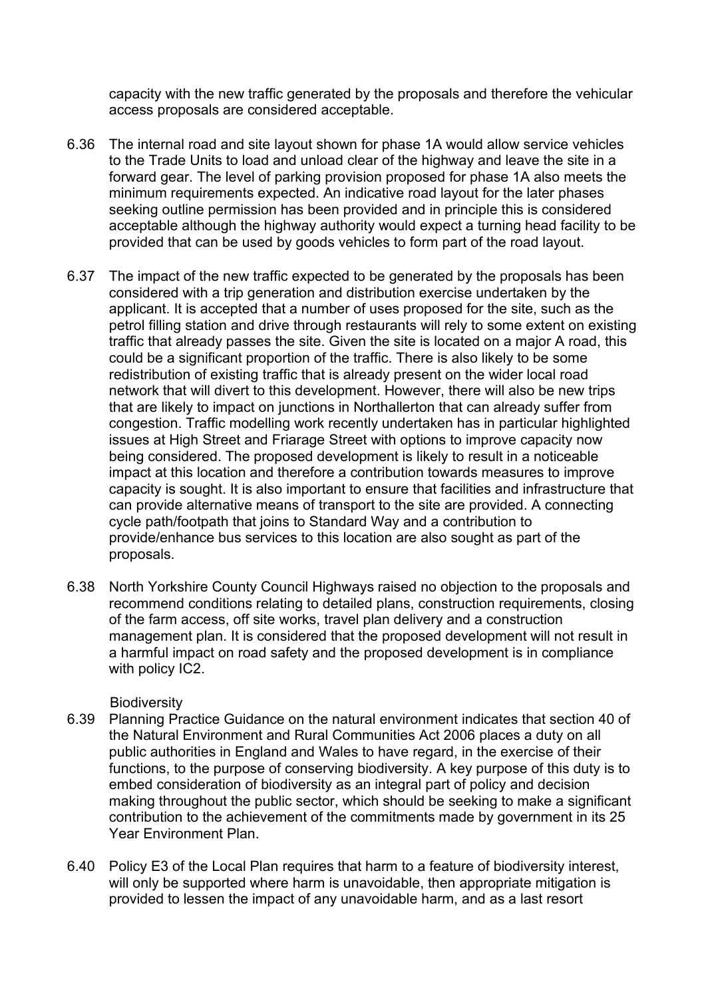capacity with the new traffic generated by the proposals and therefore the vehicular access proposals are considered acceptable.

- 6.36 The internal road and site layout shown for phase 1A would allow service vehicles to the Trade Units to load and unload clear of the highway and leave the site in a forward gear. The level of parking provision proposed for phase 1A also meets the minimum requirements expected. An indicative road layout for the later phases seeking outline permission has been provided and in principle this is considered acceptable although the highway authority would expect a turning head facility to be provided that can be used by goods vehicles to form part of the road layout.
- 6.37 The impact of the new traffic expected to be generated by the proposals has been considered with a trip generation and distribution exercise undertaken by the applicant. It is accepted that a number of uses proposed for the site, such as the petrol filling station and drive through restaurants will rely to some extent on existing traffic that already passes the site. Given the site is located on a major A road, this could be a significant proportion of the traffic. There is also likely to be some redistribution of existing traffic that is already present on the wider local road network that will divert to this development. However, there will also be new trips that are likely to impact on junctions in Northallerton that can already suffer from congestion. Traffic modelling work recently undertaken has in particular highlighted issues at High Street and Friarage Street with options to improve capacity now being considered. The proposed development is likely to result in a noticeable impact at this location and therefore a contribution towards measures to improve capacity is sought. It is also important to ensure that facilities and infrastructure that can provide alternative means of transport to the site are provided. A connecting cycle path/footpath that joins to Standard Way and a contribution to provide/enhance bus services to this location are also sought as part of the proposals.
- 6.38 North Yorkshire County Council Highways raised no objection to the proposals and recommend conditions relating to detailed plans, construction requirements, closing of the farm access, off site works, travel plan delivery and a construction management plan. It is considered that the proposed development will not result in a harmful impact on road safety and the proposed development is in compliance with policy IC2.

#### **Biodiversity**

- 6.39 Planning Practice Guidance on the natural environment indicates that section 40 of the Natural Environment and Rural Communities Act 2006 places a duty on all public authorities in England and Wales to have regard, in the exercise of their functions, to the purpose of conserving biodiversity. A key purpose of this duty is to embed consideration of biodiversity as an integral part of policy and decision making throughout the public sector, which should be seeking to make a significant contribution to the achievement of the commitments made by government in its 25 Year Environment Plan.
- 6.40 Policy E3 of the Local Plan requires that harm to a feature of biodiversity interest, will only be supported where harm is unavoidable, then appropriate mitigation is provided to lessen the impact of any unavoidable harm, and as a last resort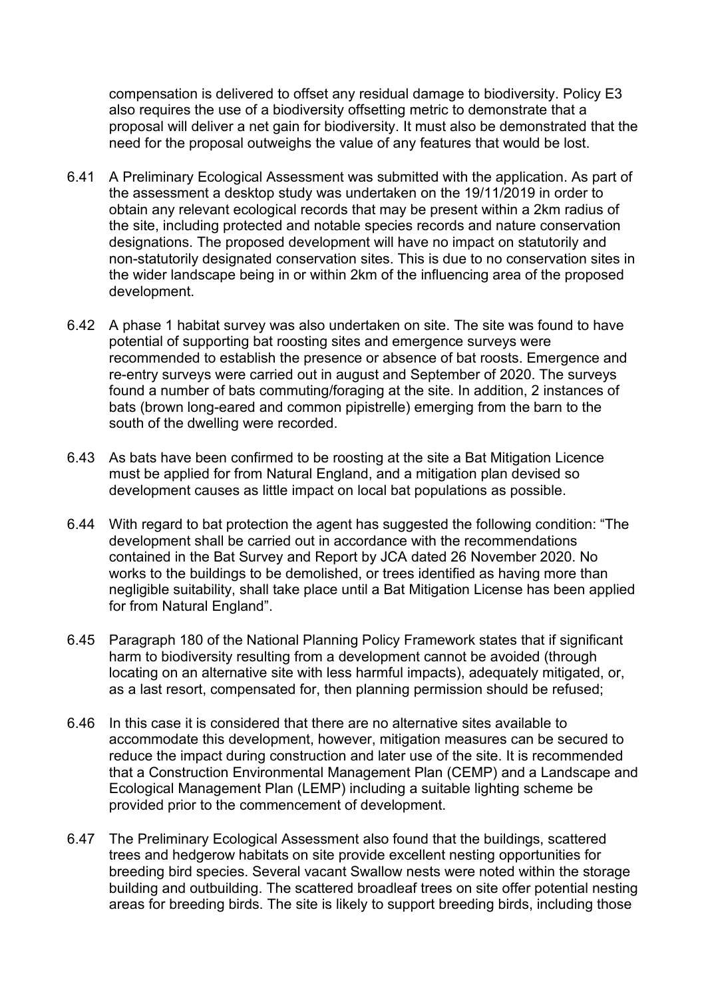compensation is delivered to offset any residual damage to biodiversity. Policy E3 also requires the use of a biodiversity offsetting metric to demonstrate that a proposal will deliver a net gain for biodiversity. It must also be demonstrated that the need for the proposal outweighs the value of any features that would be lost.

- 6.41 A Preliminary Ecological Assessment was submitted with the application. As part of the assessment a desktop study was undertaken on the 19/11/2019 in order to obtain any relevant ecological records that may be present within a 2km radius of the site, including protected and notable species records and nature conservation designations. The proposed development will have no impact on statutorily and non-statutorily designated conservation sites. This is due to no conservation sites in the wider landscape being in or within 2km of the influencing area of the proposed development.
- 6.42 A phase 1 habitat survey was also undertaken on site. The site was found to have potential of supporting bat roosting sites and emergence surveys were recommended to establish the presence or absence of bat roosts. Emergence and re-entry surveys were carried out in august and September of 2020. The surveys found a number of bats commuting/foraging at the site. In addition, 2 instances of bats (brown long-eared and common pipistrelle) emerging from the barn to the south of the dwelling were recorded.
- 6.43 As bats have been confirmed to be roosting at the site a Bat Mitigation Licence must be applied for from Natural England, and a mitigation plan devised so development causes as little impact on local bat populations as possible.
- 6.44 With regard to bat protection the agent has suggested the following condition: "The development shall be carried out in accordance with the recommendations contained in the Bat Survey and Report by JCA dated 26 November 2020. No works to the buildings to be demolished, or trees identified as having more than negligible suitability, shall take place until a Bat Mitigation License has been applied for from Natural England".
- 6.45 Paragraph 180 of the National Planning Policy Framework states that if significant harm to biodiversity resulting from a development cannot be avoided (through locating on an alternative site with less harmful impacts), adequately mitigated, or, as a last resort, compensated for, then planning permission should be refused;
- 6.46 In this case it is considered that there are no alternative sites available to accommodate this development, however, mitigation measures can be secured to reduce the impact during construction and later use of the site. It is recommended that a Construction Environmental Management Plan (CEMP) and a Landscape and Ecological Management Plan (LEMP) including a suitable lighting scheme be provided prior to the commencement of development.
- 6.47 The Preliminary Ecological Assessment also found that the buildings, scattered trees and hedgerow habitats on site provide excellent nesting opportunities for breeding bird species. Several vacant Swallow nests were noted within the storage building and outbuilding. The scattered broadleaf trees on site offer potential nesting areas for breeding birds. The site is likely to support breeding birds, including those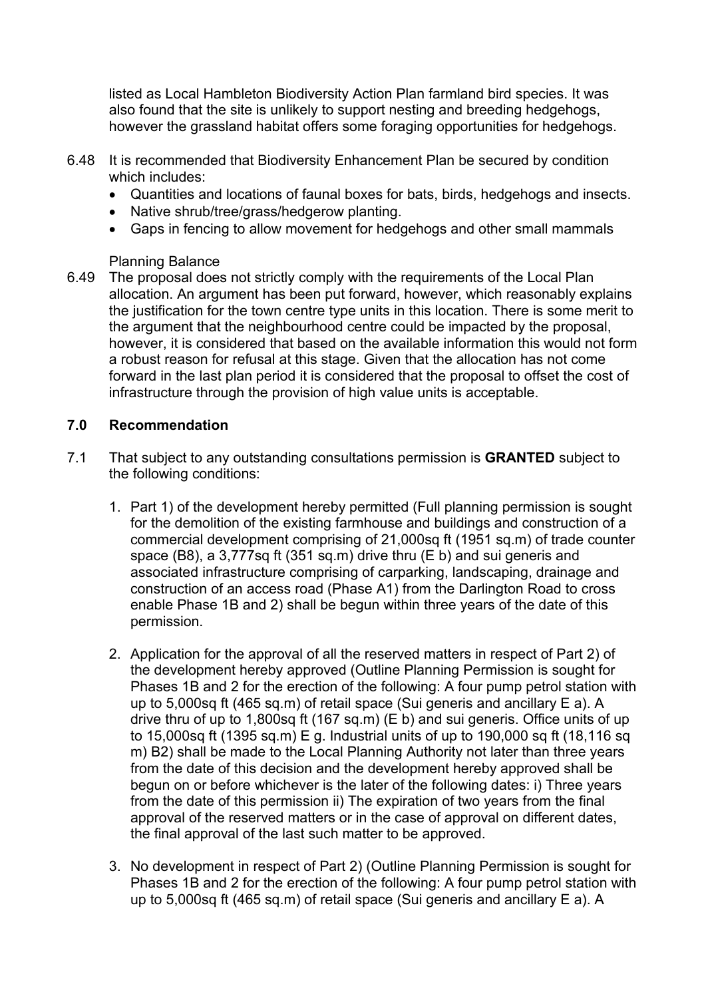listed as Local Hambleton Biodiversity Action Plan farmland bird species. It was also found that the site is unlikely to support nesting and breeding hedgehogs, however the grassland habitat offers some foraging opportunities for hedgehogs.

- 6.48 It is recommended that Biodiversity Enhancement Plan be secured by condition which includes:
	- Quantities and locations of faunal boxes for bats, birds, hedgehogs and insects.
	- Native shrub/tree/grass/hedgerow planting.
	- Gaps in fencing to allow movement for hedgehogs and other small mammals

#### Planning Balance

6.49 The proposal does not strictly comply with the requirements of the Local Plan allocation. An argument has been put forward, however, which reasonably explains the justification for the town centre type units in this location. There is some merit to the argument that the neighbourhood centre could be impacted by the proposal, however, it is considered that based on the available information this would not form a robust reason for refusal at this stage. Given that the allocation has not come forward in the last plan period it is considered that the proposal to offset the cost of infrastructure through the provision of high value units is acceptable.

### **7.0 Recommendation**

- 7.1 That subject to any outstanding consultations permission is **GRANTED** subject to the following conditions:
	- 1. Part 1) of the development hereby permitted (Full planning permission is sought for the demolition of the existing farmhouse and buildings and construction of a commercial development comprising of 21,000sq ft (1951 sq.m) of trade counter space (B8), a 3,777sq ft (351 sq.m) drive thru (E b) and sui generis and associated infrastructure comprising of carparking, landscaping, drainage and construction of an access road (Phase A1) from the Darlington Road to cross enable Phase 1B and 2) shall be begun within three years of the date of this permission.
	- 2. Application for the approval of all the reserved matters in respect of Part 2) of the development hereby approved (Outline Planning Permission is sought for Phases 1B and 2 for the erection of the following: A four pump petrol station with up to 5,000sq ft (465 sq.m) of retail space (Sui generis and ancillary E a). A drive thru of up to 1,800sq ft (167 sq.m) (E b) and sui generis. Office units of up to 15,000sq ft (1395 sq.m) E g. Industrial units of up to 190,000 sq ft (18,116 sq m) B2) shall be made to the Local Planning Authority not later than three years from the date of this decision and the development hereby approved shall be begun on or before whichever is the later of the following dates: i) Three years from the date of this permission ii) The expiration of two years from the final approval of the reserved matters or in the case of approval on different dates, the final approval of the last such matter to be approved.
	- 3. No development in respect of Part 2) (Outline Planning Permission is sought for Phases 1B and 2 for the erection of the following: A four pump petrol station with up to 5,000sq ft (465 sq.m) of retail space (Sui generis and ancillary E a). A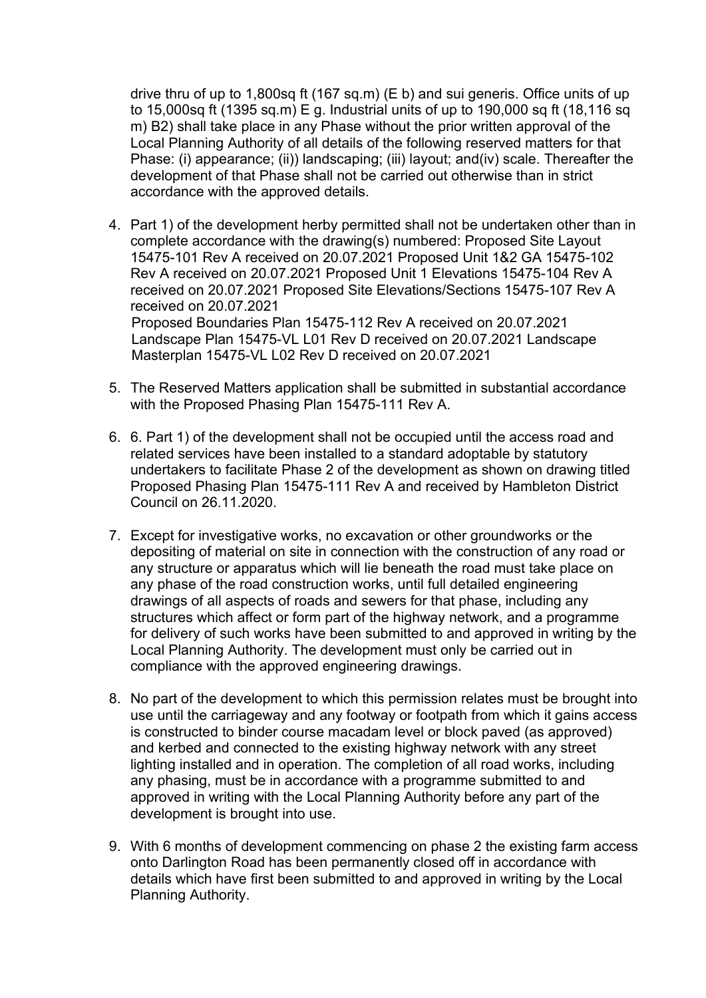drive thru of up to 1,800sq ft (167 sq.m) (E b) and sui generis. Office units of up to 15,000sq ft (1395 sq.m) E g. Industrial units of up to 190,000 sq ft (18,116 sq m) B2) shall take place in any Phase without the prior written approval of the Local Planning Authority of all details of the following reserved matters for that Phase: (i) appearance; (ii)) landscaping; (iii) layout; and(iv) scale. Thereafter the development of that Phase shall not be carried out otherwise than in strict accordance with the approved details.

4. Part 1) of the development herby permitted shall not be undertaken other than in complete accordance with the drawing(s) numbered: Proposed Site Layout 15475-101 Rev A received on 20.07.2021 Proposed Unit 1&2 GA 15475-102 Rev A received on 20.07.2021 Proposed Unit 1 Elevations 15475-104 Rev A received on 20.07.2021 Proposed Site Elevations/Sections 15475-107 Rev A received on 20.07.2021 Proposed Boundaries Plan 15475-112 Rev A received on 20.07.2021 Landscape Plan 15475-VL L01 Rev D received on 20.07.2021 Landscape

Masterplan 15475-VL L02 Rev D received on 20.07.2021

- 5. The Reserved Matters application shall be submitted in substantial accordance with the Proposed Phasing Plan 15475-111 Rev A.
- 6. 6. Part 1) of the development shall not be occupied until the access road and related services have been installed to a standard adoptable by statutory undertakers to facilitate Phase 2 of the development as shown on drawing titled Proposed Phasing Plan 15475-111 Rev A and received by Hambleton District Council on 26.11.2020.
- 7. Except for investigative works, no excavation or other groundworks or the depositing of material on site in connection with the construction of any road or any structure or apparatus which will lie beneath the road must take place on any phase of the road construction works, until full detailed engineering drawings of all aspects of roads and sewers for that phase, including any structures which affect or form part of the highway network, and a programme for delivery of such works have been submitted to and approved in writing by the Local Planning Authority. The development must only be carried out in compliance with the approved engineering drawings.
- 8. No part of the development to which this permission relates must be brought into use until the carriageway and any footway or footpath from which it gains access is constructed to binder course macadam level or block paved (as approved) and kerbed and connected to the existing highway network with any street lighting installed and in operation. The completion of all road works, including any phasing, must be in accordance with a programme submitted to and approved in writing with the Local Planning Authority before any part of the development is brought into use.
- 9. With 6 months of development commencing on phase 2 the existing farm access onto Darlington Road has been permanently closed off in accordance with details which have first been submitted to and approved in writing by the Local Planning Authority.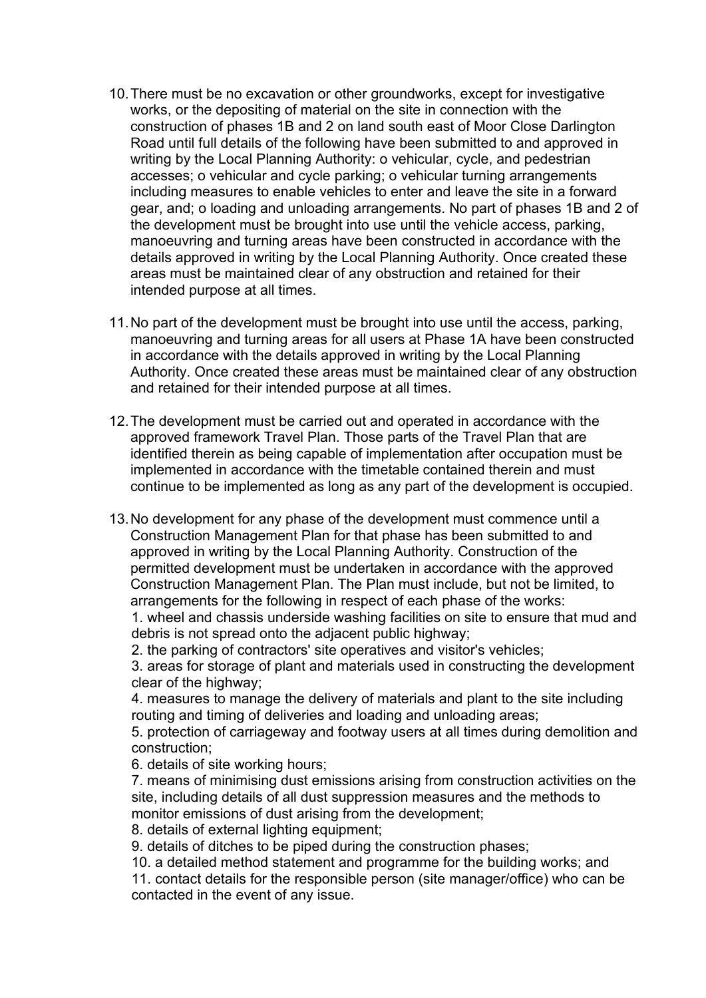- 10.There must be no excavation or other groundworks, except for investigative works, or the depositing of material on the site in connection with the construction of phases 1B and 2 on land south east of Moor Close Darlington Road until full details of the following have been submitted to and approved in writing by the Local Planning Authority: o vehicular, cycle, and pedestrian accesses; o vehicular and cycle parking; o vehicular turning arrangements including measures to enable vehicles to enter and leave the site in a forward gear, and; o loading and unloading arrangements. No part of phases 1B and 2 of the development must be brought into use until the vehicle access, parking, manoeuvring and turning areas have been constructed in accordance with the details approved in writing by the Local Planning Authority. Once created these areas must be maintained clear of any obstruction and retained for their intended purpose at all times.
- 11.No part of the development must be brought into use until the access, parking, manoeuvring and turning areas for all users at Phase 1A have been constructed in accordance with the details approved in writing by the Local Planning Authority. Once created these areas must be maintained clear of any obstruction and retained for their intended purpose at all times.
- 12.The development must be carried out and operated in accordance with the approved framework Travel Plan. Those parts of the Travel Plan that are identified therein as being capable of implementation after occupation must be implemented in accordance with the timetable contained therein and must continue to be implemented as long as any part of the development is occupied.
- 13.No development for any phase of the development must commence until a Construction Management Plan for that phase has been submitted to and approved in writing by the Local Planning Authority. Construction of the permitted development must be undertaken in accordance with the approved Construction Management Plan. The Plan must include, but not be limited, to arrangements for the following in respect of each phase of the works: 1. wheel and chassis underside washing facilities on site to ensure that mud and

debris is not spread onto the adjacent public highway;

2. the parking of contractors' site operatives and visitor's vehicles;

3. areas for storage of plant and materials used in constructing the development clear of the highway;

4. measures to manage the delivery of materials and plant to the site including routing and timing of deliveries and loading and unloading areas;

5. protection of carriageway and footway users at all times during demolition and construction;

6. details of site working hours;

7. means of minimising dust emissions arising from construction activities on the site, including details of all dust suppression measures and the methods to monitor emissions of dust arising from the development;

8. details of external lighting equipment;

9. details of ditches to be piped during the construction phases;

10. a detailed method statement and programme for the building works; and

11. contact details for the responsible person (site manager/office) who can be contacted in the event of any issue.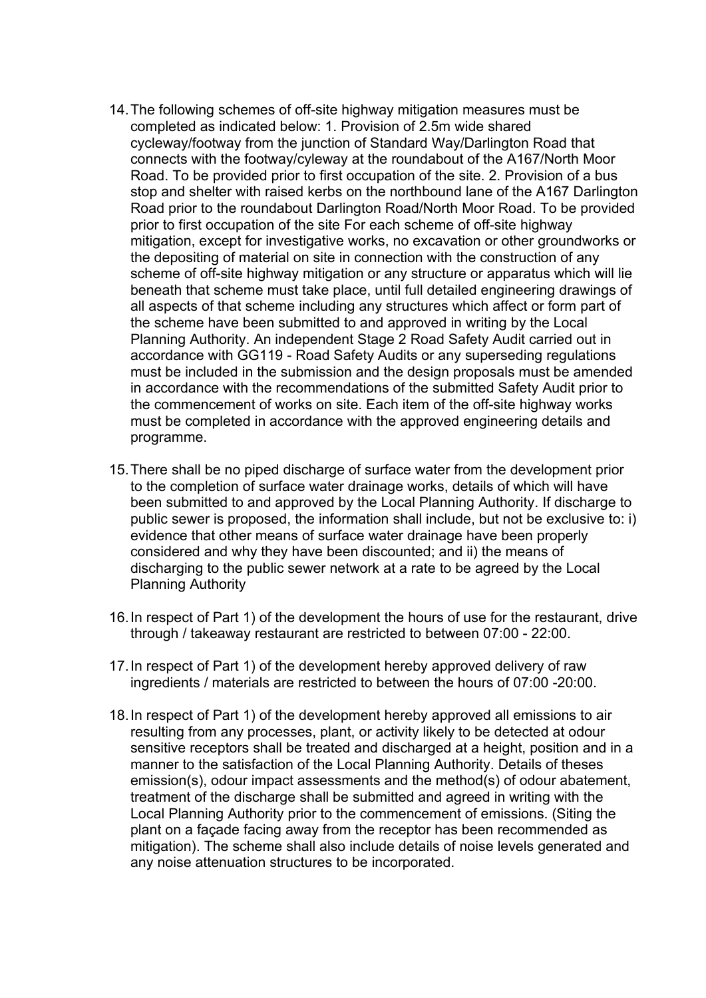- 14.The following schemes of off-site highway mitigation measures must be completed as indicated below: 1. Provision of 2.5m wide shared cycleway/footway from the junction of Standard Way/Darlington Road that connects with the footway/cyleway at the roundabout of the A167/North Moor Road. To be provided prior to first occupation of the site. 2. Provision of a bus stop and shelter with raised kerbs on the northbound lane of the A167 Darlington Road prior to the roundabout Darlington Road/North Moor Road. To be provided prior to first occupation of the site For each scheme of off-site highway mitigation, except for investigative works, no excavation or other groundworks or the depositing of material on site in connection with the construction of any scheme of off-site highway mitigation or any structure or apparatus which will lie beneath that scheme must take place, until full detailed engineering drawings of all aspects of that scheme including any structures which affect or form part of the scheme have been submitted to and approved in writing by the Local Planning Authority. An independent Stage 2 Road Safety Audit carried out in accordance with GG119 - Road Safety Audits or any superseding regulations must be included in the submission and the design proposals must be amended in accordance with the recommendations of the submitted Safety Audit prior to the commencement of works on site. Each item of the off-site highway works must be completed in accordance with the approved engineering details and programme.
- 15.There shall be no piped discharge of surface water from the development prior to the completion of surface water drainage works, details of which will have been submitted to and approved by the Local Planning Authority. If discharge to public sewer is proposed, the information shall include, but not be exclusive to: i) evidence that other means of surface water drainage have been properly considered and why they have been discounted; and ii) the means of discharging to the public sewer network at a rate to be agreed by the Local Planning Authority
- 16.In respect of Part 1) of the development the hours of use for the restaurant, drive through / takeaway restaurant are restricted to between 07:00 - 22:00.
- 17.In respect of Part 1) of the development hereby approved delivery of raw ingredients / materials are restricted to between the hours of 07:00 -20:00.
- 18.In respect of Part 1) of the development hereby approved all emissions to air resulting from any processes, plant, or activity likely to be detected at odour sensitive receptors shall be treated and discharged at a height, position and in a manner to the satisfaction of the Local Planning Authority. Details of theses emission(s), odour impact assessments and the method(s) of odour abatement, treatment of the discharge shall be submitted and agreed in writing with the Local Planning Authority prior to the commencement of emissions. (Siting the plant on a façade facing away from the receptor has been recommended as mitigation). The scheme shall also include details of noise levels generated and any noise attenuation structures to be incorporated.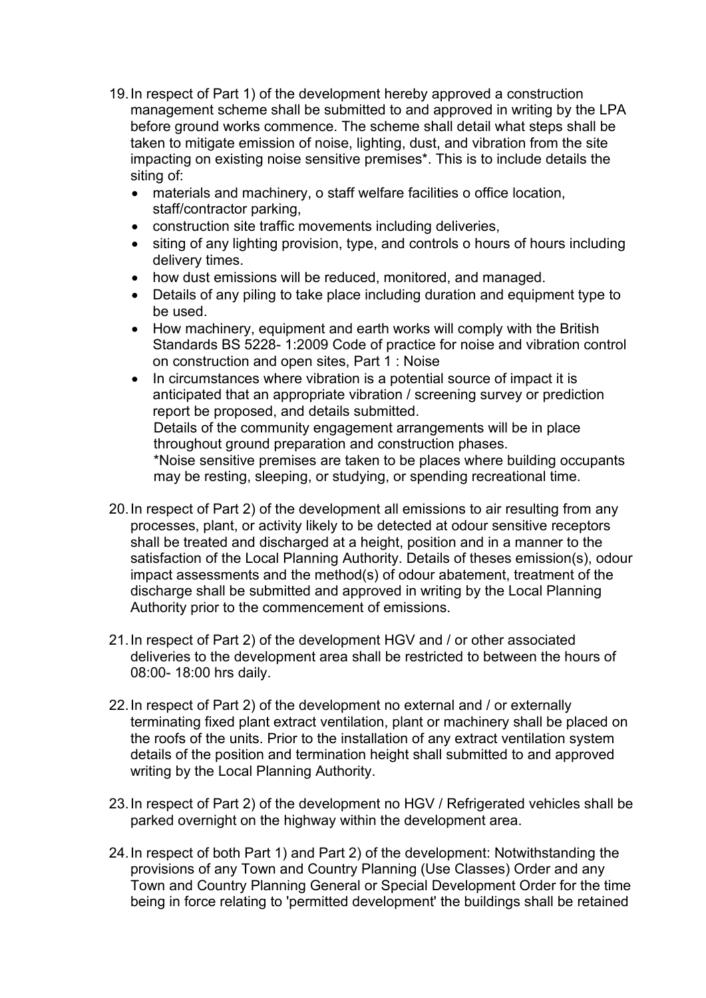- 19.In respect of Part 1) of the development hereby approved a construction management scheme shall be submitted to and approved in writing by the LPA before ground works commence. The scheme shall detail what steps shall be taken to mitigate emission of noise, lighting, dust, and vibration from the site impacting on existing noise sensitive premises\*. This is to include details the siting of:
	- materials and machinery, o staff welfare facilities o office location, staff/contractor parking,
	- construction site traffic movements including deliveries,
	- siting of any lighting provision, type, and controls o hours of hours including delivery times.
	- how dust emissions will be reduced, monitored, and managed.
	- Details of any piling to take place including duration and equipment type to be used.
	- How machinery, equipment and earth works will comply with the British Standards BS 5228- 1:2009 Code of practice for noise and vibration control on construction and open sites, Part 1 : Noise
	- In circumstances where vibration is a potential source of impact it is anticipated that an appropriate vibration / screening survey or prediction report be proposed, and details submitted. Details of the community engagement arrangements will be in place throughout ground preparation and construction phases. \*Noise sensitive premises are taken to be places where building occupants may be resting, sleeping, or studying, or spending recreational time.
- 20.In respect of Part 2) of the development all emissions to air resulting from any processes, plant, or activity likely to be detected at odour sensitive receptors shall be treated and discharged at a height, position and in a manner to the satisfaction of the Local Planning Authority. Details of theses emission(s), odour impact assessments and the method(s) of odour abatement, treatment of the discharge shall be submitted and approved in writing by the Local Planning Authority prior to the commencement of emissions.
- 21.In respect of Part 2) of the development HGV and / or other associated deliveries to the development area shall be restricted to between the hours of 08:00- 18:00 hrs daily.
- 22.In respect of Part 2) of the development no external and / or externally terminating fixed plant extract ventilation, plant or machinery shall be placed on the roofs of the units. Prior to the installation of any extract ventilation system details of the position and termination height shall submitted to and approved writing by the Local Planning Authority.
- 23.In respect of Part 2) of the development no HGV / Refrigerated vehicles shall be parked overnight on the highway within the development area.
- 24.In respect of both Part 1) and Part 2) of the development: Notwithstanding the provisions of any Town and Country Planning (Use Classes) Order and any Town and Country Planning General or Special Development Order for the time being in force relating to 'permitted development' the buildings shall be retained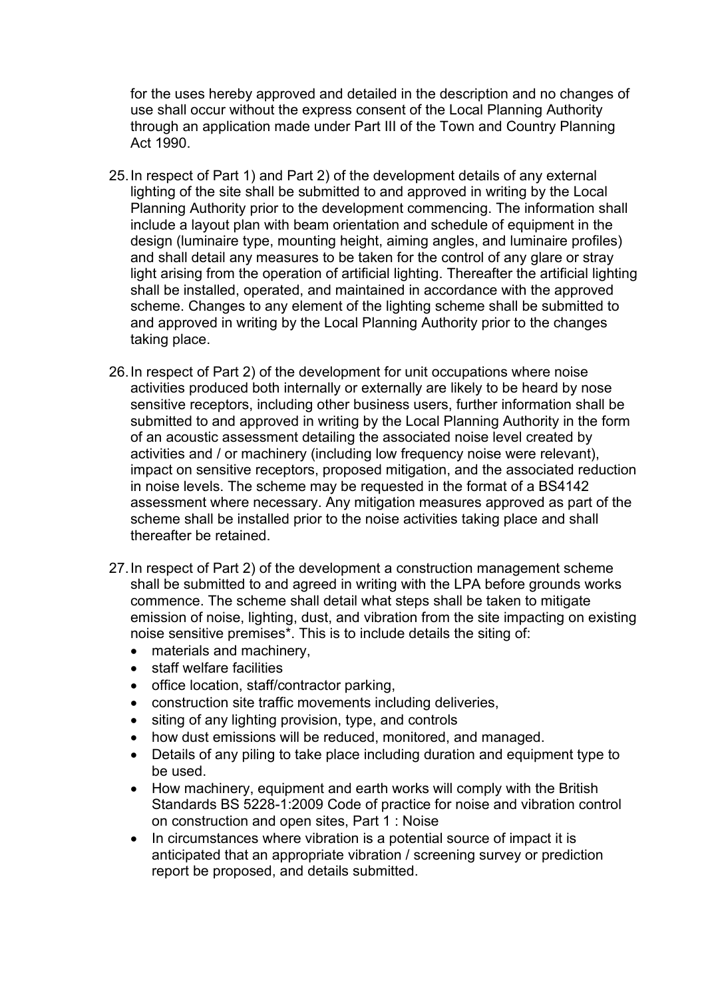for the uses hereby approved and detailed in the description and no changes of use shall occur without the express consent of the Local Planning Authority through an application made under Part III of the Town and Country Planning Act 1990.

- 25.In respect of Part 1) and Part 2) of the development details of any external lighting of the site shall be submitted to and approved in writing by the Local Planning Authority prior to the development commencing. The information shall include a layout plan with beam orientation and schedule of equipment in the design (luminaire type, mounting height, aiming angles, and luminaire profiles) and shall detail any measures to be taken for the control of any glare or stray light arising from the operation of artificial lighting. Thereafter the artificial lighting shall be installed, operated, and maintained in accordance with the approved scheme. Changes to any element of the lighting scheme shall be submitted to and approved in writing by the Local Planning Authority prior to the changes taking place.
- 26.In respect of Part 2) of the development for unit occupations where noise activities produced both internally or externally are likely to be heard by nose sensitive receptors, including other business users, further information shall be submitted to and approved in writing by the Local Planning Authority in the form of an acoustic assessment detailing the associated noise level created by activities and / or machinery (including low frequency noise were relevant), impact on sensitive receptors, proposed mitigation, and the associated reduction in noise levels. The scheme may be requested in the format of a BS4142 assessment where necessary. Any mitigation measures approved as part of the scheme shall be installed prior to the noise activities taking place and shall thereafter be retained.
- 27.In respect of Part 2) of the development a construction management scheme shall be submitted to and agreed in writing with the LPA before grounds works commence. The scheme shall detail what steps shall be taken to mitigate emission of noise, lighting, dust, and vibration from the site impacting on existing noise sensitive premises\*. This is to include details the siting of:
	- materials and machinery,
	- staff welfare facilities
	- office location, staff/contractor parking,
	- construction site traffic movements including deliveries,
	- siting of any lighting provision, type, and controls
	- how dust emissions will be reduced, monitored, and managed.
	- Details of any piling to take place including duration and equipment type to be used.
	- How machinery, equipment and earth works will comply with the British Standards BS 5228-1:2009 Code of practice for noise and vibration control on construction and open sites, Part 1 : Noise
	- In circumstances where vibration is a potential source of impact it is anticipated that an appropriate vibration / screening survey or prediction report be proposed, and details submitted.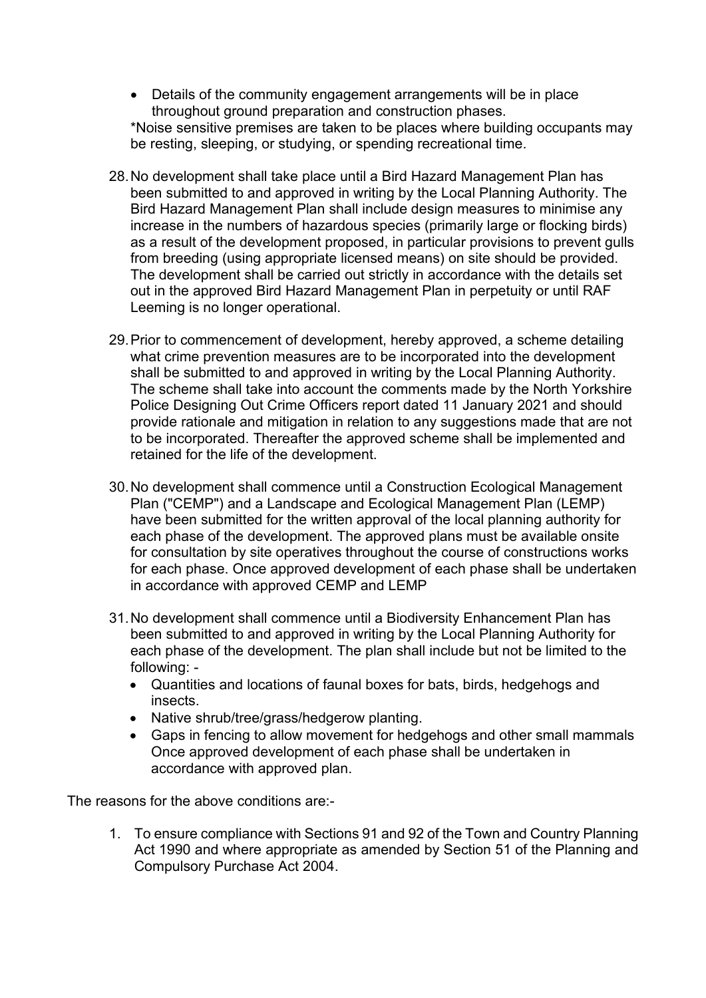- Details of the community engagement arrangements will be in place throughout ground preparation and construction phases. \*Noise sensitive premises are taken to be places where building occupants may be resting, sleeping, or studying, or spending recreational time.
- 28.No development shall take place until a Bird Hazard Management Plan has been submitted to and approved in writing by the Local Planning Authority. The Bird Hazard Management Plan shall include design measures to minimise any increase in the numbers of hazardous species (primarily large or flocking birds) as a result of the development proposed, in particular provisions to prevent gulls from breeding (using appropriate licensed means) on site should be provided. The development shall be carried out strictly in accordance with the details set out in the approved Bird Hazard Management Plan in perpetuity or until RAF Leeming is no longer operational.
- 29.Prior to commencement of development, hereby approved, a scheme detailing what crime prevention measures are to be incorporated into the development shall be submitted to and approved in writing by the Local Planning Authority. The scheme shall take into account the comments made by the North Yorkshire Police Designing Out Crime Officers report dated 11 January 2021 and should provide rationale and mitigation in relation to any suggestions made that are not to be incorporated. Thereafter the approved scheme shall be implemented and retained for the life of the development.
- 30.No development shall commence until a Construction Ecological Management Plan ("CEMP") and a Landscape and Ecological Management Plan (LEMP) have been submitted for the written approval of the local planning authority for each phase of the development. The approved plans must be available onsite for consultation by site operatives throughout the course of constructions works for each phase. Once approved development of each phase shall be undertaken in accordance with approved CEMP and LEMP
- 31.No development shall commence until a Biodiversity Enhancement Plan has been submitted to and approved in writing by the Local Planning Authority for each phase of the development. The plan shall include but not be limited to the following: -
	- Quantities and locations of faunal boxes for bats, birds, hedgehogs and insects.
	- Native shrub/tree/grass/hedgerow planting.
	- Gaps in fencing to allow movement for hedgehogs and other small mammals Once approved development of each phase shall be undertaken in accordance with approved plan.

The reasons for the above conditions are:-

1. To ensure compliance with Sections 91 and 92 of the Town and Country Planning Act 1990 and where appropriate as amended by Section 51 of the Planning and Compulsory Purchase Act 2004.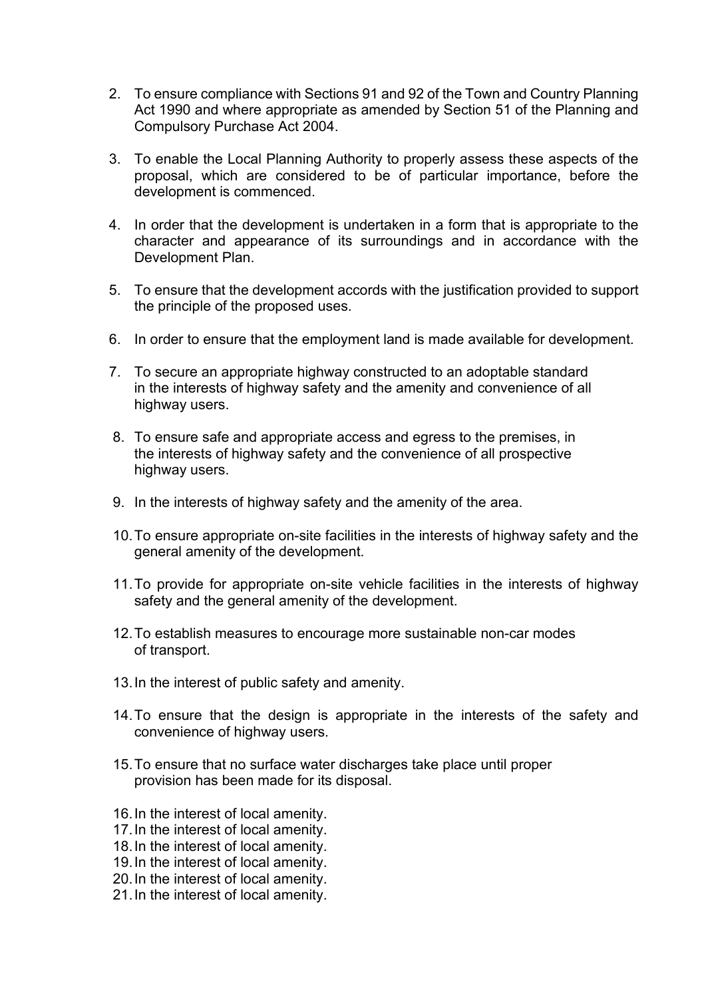- 2. To ensure compliance with Sections 91 and 92 of the Town and Country Planning Act 1990 and where appropriate as amended by Section 51 of the Planning and Compulsory Purchase Act 2004.
- 3. To enable the Local Planning Authority to properly assess these aspects of the proposal, which are considered to be of particular importance, before the development is commenced.
- 4. In order that the development is undertaken in a form that is appropriate to the character and appearance of its surroundings and in accordance with the Development Plan.
- 5. To ensure that the development accords with the justification provided to support the principle of the proposed uses.
- 6. In order to ensure that the employment land is made available for development.
- 7. To secure an appropriate highway constructed to an adoptable standard in the interests of highway safety and the amenity and convenience of all highway users.
- 8. To ensure safe and appropriate access and egress to the premises, in the interests of highway safety and the convenience of all prospective highway users.
- 9. In the interests of highway safety and the amenity of the area.
- 10.To ensure appropriate on-site facilities in the interests of highway safety and the general amenity of the development.
- 11.To provide for appropriate on-site vehicle facilities in the interests of highway safety and the general amenity of the development.
- 12.To establish measures to encourage more sustainable non-car modes of transport.
- 13.In the interest of public safety and amenity.
- 14.To ensure that the design is appropriate in the interests of the safety and convenience of highway users.
- 15.To ensure that no surface water discharges take place until proper provision has been made for its disposal.
- 16.In the interest of local amenity.
- 17.In the interest of local amenity.
- 18.In the interest of local amenity.
- 19.In the interest of local amenity.
- 20.In the interest of local amenity.
- 21.In the interest of local amenity.